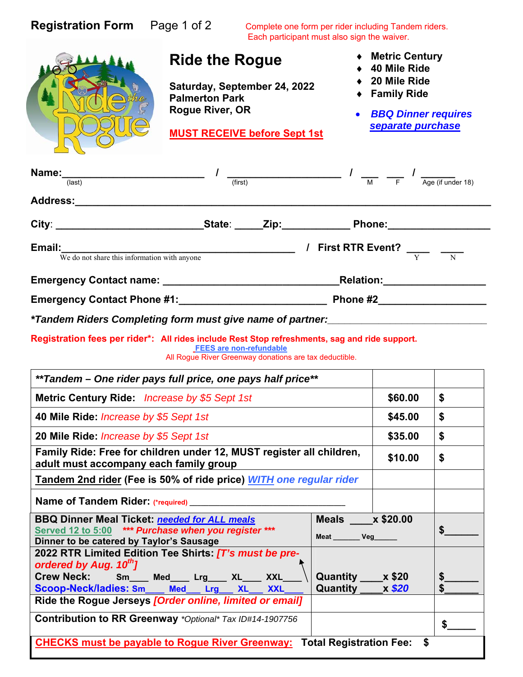| <b>Registration Form</b> Page 1 of 2                                                                                                                                                                          |                                                                                                                                          | Complete one form per rider including Tandem riders.<br>Each participant must also sign the waiver. |                                                                                                                                                                                                                                                                                                                                                                                                                               |                                                                                                                 |          |  |
|---------------------------------------------------------------------------------------------------------------------------------------------------------------------------------------------------------------|------------------------------------------------------------------------------------------------------------------------------------------|-----------------------------------------------------------------------------------------------------|-------------------------------------------------------------------------------------------------------------------------------------------------------------------------------------------------------------------------------------------------------------------------------------------------------------------------------------------------------------------------------------------------------------------------------|-----------------------------------------------------------------------------------------------------------------|----------|--|
|                                                                                                                                                                                                               | <b>Ride the Rogue</b><br>Saturday, September 24, 2022<br><b>Palmerton Park</b><br>Rogue River, OR<br><b>MUST RECEIVE before Sept 1st</b> |                                                                                                     |                                                                                                                                                                                                                                                                                                                                                                                                                               | ◆ Metric Century<br>40 Mile Ride<br>20 Mile Ride<br>◆ Family Ride<br>• BBQ Dinner requires<br>separate purchase |          |  |
|                                                                                                                                                                                                               |                                                                                                                                          |                                                                                                     | <b>Name:</b> $\frac{1}{\frac{1}{\frac{1}{\frac{1}{\sqrt{1}}}}\left(\frac{1}{\sqrt{1}}\right)}$ $\frac{1}{\frac{1}{\frac{1}{\sqrt{1}}\left(\frac{1}{\sqrt{1}}\right)}$ $\frac{1}{\frac{1}{\sqrt{1}}\left(\frac{1}{\sqrt{1}}\right)}$ $\frac{1}{\frac{1}{\sqrt{1}}\left(\frac{1}{\sqrt{1}}\right)}$ $\frac{1}{\frac{1}{\sqrt{1}}\left(\frac{1}{\sqrt{1}}\right)}$ $\frac{1}{\frac{1}{\sqrt{1}}\left(\frac{1}{\sqrt{1}}\right)}$ |                                                                                                                 |          |  |
| Address: Andreas Address Address and Address Address Address Address Address Address Address Address Address A                                                                                                |                                                                                                                                          |                                                                                                     |                                                                                                                                                                                                                                                                                                                                                                                                                               |                                                                                                                 |          |  |
| City: _____________________________State: _____Zip:_____________Phone:__________________                                                                                                                      |                                                                                                                                          |                                                                                                     |                                                                                                                                                                                                                                                                                                                                                                                                                               |                                                                                                                 |          |  |
| <b>Email:</b> $\frac{W}{W}$ do not share this information with anyone $\frac{W}{W}$ <b>First RTR Event?</b> $\frac{W}{Y}$ $\frac{W}{W}$                                                                       |                                                                                                                                          |                                                                                                     |                                                                                                                                                                                                                                                                                                                                                                                                                               |                                                                                                                 |          |  |
|                                                                                                                                                                                                               |                                                                                                                                          |                                                                                                     |                                                                                                                                                                                                                                                                                                                                                                                                                               |                                                                                                                 |          |  |
|                                                                                                                                                                                                               |                                                                                                                                          |                                                                                                     |                                                                                                                                                                                                                                                                                                                                                                                                                               |                                                                                                                 |          |  |
|                                                                                                                                                                                                               |                                                                                                                                          |                                                                                                     |                                                                                                                                                                                                                                                                                                                                                                                                                               |                                                                                                                 |          |  |
| Registration fees per rider*: All rides include Rest Stop refreshments, sag and ride support.                                                                                                                 |                                                                                                                                          | <b>FEES are non-refundable</b><br>All Rogue River Greenway donations are tax deductible.            |                                                                                                                                                                                                                                                                                                                                                                                                                               |                                                                                                                 |          |  |
| **Tandem - One rider pays full price, one pays half price**                                                                                                                                                   |                                                                                                                                          |                                                                                                     |                                                                                                                                                                                                                                                                                                                                                                                                                               |                                                                                                                 |          |  |
| Metric Century Ride: Increase by \$5 Sept 1st                                                                                                                                                                 |                                                                                                                                          |                                                                                                     |                                                                                                                                                                                                                                                                                                                                                                                                                               | \$60.00                                                                                                         | \$       |  |
| 40 Mile Ride: <i>Increase by \$5 Sept 1st</i>                                                                                                                                                                 |                                                                                                                                          |                                                                                                     |                                                                                                                                                                                                                                                                                                                                                                                                                               | \$45.00                                                                                                         | \$       |  |
| 20 Mile Ride: <i>Increase by \$5 Sept 1st</i>                                                                                                                                                                 |                                                                                                                                          |                                                                                                     |                                                                                                                                                                                                                                                                                                                                                                                                                               | \$35.00                                                                                                         | \$       |  |
| Family Ride: Free for children under 12, MUST register all children,<br>\$10.00<br>adult must accompany each family group                                                                                     |                                                                                                                                          |                                                                                                     |                                                                                                                                                                                                                                                                                                                                                                                                                               |                                                                                                                 | \$       |  |
| Tandem 2nd rider (Fee is 50% of ride price) WITH one regular rider                                                                                                                                            |                                                                                                                                          |                                                                                                     |                                                                                                                                                                                                                                                                                                                                                                                                                               |                                                                                                                 |          |  |
| Name of Tandem Rider. (*required) __________                                                                                                                                                                  |                                                                                                                                          |                                                                                                     |                                                                                                                                                                                                                                                                                                                                                                                                                               |                                                                                                                 |          |  |
| Meals x \$20.00<br><b>BBQ Dinner Meal Ticket: needed for ALL meals</b><br><b>Served 12 to 5:00</b><br>*** Purchase when you register ***<br>Meat _______ Veg_____<br>Dinner to be catered by Taylor's Sausage |                                                                                                                                          |                                                                                                     |                                                                                                                                                                                                                                                                                                                                                                                                                               |                                                                                                                 | \$       |  |
| 2022 RTR Limited Edition Tee Shirts: [T's must be pre-<br>ordered by Aug. 10th]<br><b>Crew Neck:</b><br>Scoop-Neck/ladies: Sm___ Med__ Lrg_<br>Ride the Rogue Jerseys [Order online, limited or email]        | Sm __ Med____ Lrg ___ XL___ XXL_                                                                                                         | XL<br><b>XXL</b>                                                                                    | Quantity x \$20<br>Quantity x \$20                                                                                                                                                                                                                                                                                                                                                                                            |                                                                                                                 | \$<br>\$ |  |
| <b>Contribution to RR Greenway</b> *Optional* Tax ID#14-1907756                                                                                                                                               |                                                                                                                                          |                                                                                                     |                                                                                                                                                                                                                                                                                                                                                                                                                               |                                                                                                                 | \$       |  |
|                                                                                                                                                                                                               | <b>CHECKS must be payable to Rogue River Greenway:</b>                                                                                   |                                                                                                     | <b>Total Registration Fee:</b>                                                                                                                                                                                                                                                                                                                                                                                                | \$                                                                                                              |          |  |